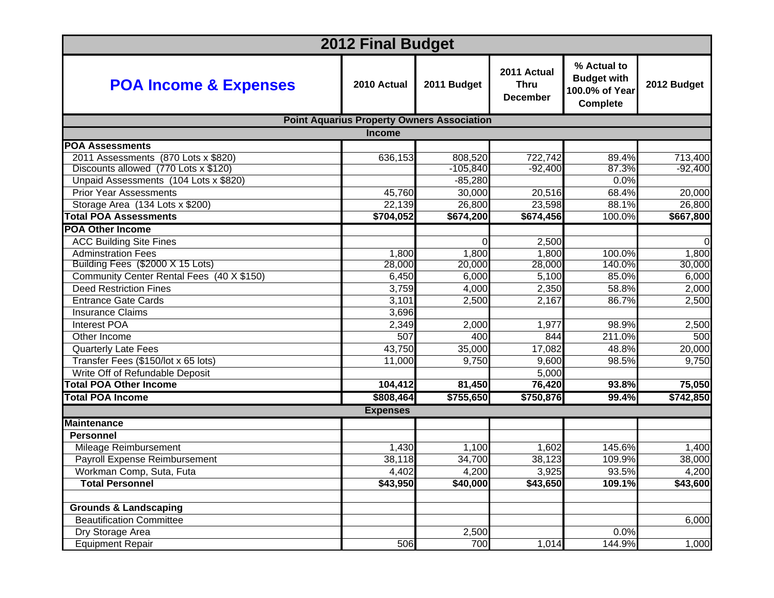| <b>2012 Final Budget</b>                  |                                                   |             |                                               |                                                                        |             |
|-------------------------------------------|---------------------------------------------------|-------------|-----------------------------------------------|------------------------------------------------------------------------|-------------|
| <b>POA Income &amp; Expenses</b>          | 2010 Actual                                       | 2011 Budget | 2011 Actual<br><b>Thru</b><br><b>December</b> | % Actual to<br><b>Budget with</b><br>100.0% of Year<br><b>Complete</b> | 2012 Budget |
|                                           | <b>Point Aquarius Property Owners Association</b> |             |                                               |                                                                        |             |
|                                           | <b>Income</b>                                     |             |                                               |                                                                        |             |
| <b>POA Assessments</b>                    |                                                   |             |                                               |                                                                        |             |
| 2011 Assessments (870 Lots x \$820)       | 636,153                                           | 808,520     | 722,742                                       | 89.4%                                                                  | 713,400     |
| Discounts allowed (770 Lots x \$120)      |                                                   | $-105,840$  | $-92,400$                                     | 87.3%                                                                  | $-92,400$   |
| Unpaid Assessments (104 Lots x \$820)     |                                                   | $-85,280$   |                                               | 0.0%                                                                   |             |
| <b>Prior Year Assessments</b>             | 45,760                                            | 30,000      | 20,516                                        | 68.4%                                                                  | 20,000      |
| Storage Area (134 Lots x \$200)           | 22,139                                            | 26,800      | 23,598                                        | 88.1%                                                                  | 26,800      |
| <b>Total POA Assessments</b>              | \$704,052                                         | \$674,200   | \$674,456                                     | 100.0%                                                                 | \$667,800   |
| <b>POA Other Income</b>                   |                                                   |             |                                               |                                                                        |             |
| <b>ACC Building Site Fines</b>            |                                                   | $\Omega$    | 2,500                                         |                                                                        | $\Omega$    |
| <b>Adminstration Fees</b>                 | 1,800                                             | 1,800       | 1,800                                         | 100.0%                                                                 | 1,800       |
| Building Fees (\$2000 X 15 Lots)          | 28,000                                            | 20,000      | 28,000                                        | 140.0%                                                                 | 30,000      |
| Community Center Rental Fees (40 X \$150) | 6,450                                             | 6,000       | 5,100                                         | 85.0%                                                                  | 6,000       |
| <b>Deed Restriction Fines</b>             | 3,759                                             | 4,000       | 2,350                                         | 58.8%                                                                  | 2,000       |
| <b>Entrance Gate Cards</b>                | 3,101                                             | 2,500       | 2,167                                         | 86.7%                                                                  | 2,500       |
| <b>Insurance Claims</b>                   | 3,696                                             |             |                                               |                                                                        |             |
| <b>Interest POA</b>                       | 2,349                                             | 2,000       | 1,977                                         | 98.9%                                                                  | 2,500       |
| Other Income                              | 507                                               | 400         | 844                                           | 211.0%                                                                 | 500         |
| <b>Quarterly Late Fees</b>                | 43,750                                            | 35,000      | 17,082                                        | 48.8%                                                                  | 20,000      |
| Transfer Fees (\$150/lot x 65 lots)       | 11,000                                            | 9,750       | 9,600                                         | 98.5%                                                                  | 9,750       |
| Write Off of Refundable Deposit           |                                                   |             | 5,000                                         |                                                                        |             |
| <b>Total POA Other Income</b>             | 104,412                                           | 81,450      | 76,420                                        | 93.8%                                                                  | 75,050      |
| <b>Total POA Income</b>                   | \$808,464                                         | \$755,650   | \$750,876                                     | 99.4%                                                                  | \$742,850   |
|                                           | <b>Expenses</b>                                   |             |                                               |                                                                        |             |
| <b>Maintenance</b>                        |                                                   |             |                                               |                                                                        |             |
| <b>Personnel</b>                          |                                                   |             |                                               |                                                                        |             |
| Mileage Reimbursement                     | 1,430                                             | 1,100       | 1,602                                         | 145.6%                                                                 | 1,400       |
| Payroll Expense Reimbursement             | 38,118                                            | 34,700      | 38,123                                        | 109.9%                                                                 | 38,000      |
| Workman Comp, Suta, Futa                  | 4,402                                             | 4,200       | 3,925                                         | 93.5%                                                                  | 4,200       |
| <b>Total Personnel</b>                    | \$43,950                                          | \$40,000    | \$43,650                                      | 109.1%                                                                 | \$43,600    |
|                                           |                                                   |             |                                               |                                                                        |             |
| <b>Grounds &amp; Landscaping</b>          |                                                   |             |                                               |                                                                        |             |
| <b>Beautification Committee</b>           |                                                   |             |                                               |                                                                        | 6,000       |
| Dry Storage Area                          |                                                   | 2,500       |                                               | 0.0%                                                                   |             |
| <b>Equipment Repair</b>                   | 506                                               | 700         | 1,014                                         | 144.9%                                                                 | 1,000       |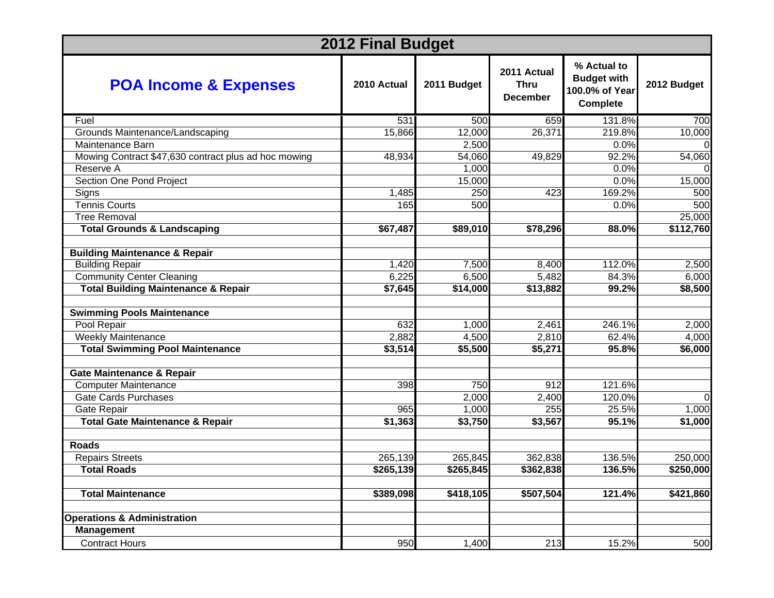| <b>2012 Final Budget</b>                             |             |             |                                               |                                                                        |             |
|------------------------------------------------------|-------------|-------------|-----------------------------------------------|------------------------------------------------------------------------|-------------|
| <b>POA Income &amp; Expenses</b>                     | 2010 Actual | 2011 Budget | 2011 Actual<br><b>Thru</b><br><b>December</b> | % Actual to<br><b>Budget with</b><br>100.0% of Year<br><b>Complete</b> | 2012 Budget |
| Fuel                                                 | 531         | 500         | 659                                           | 131.8%                                                                 | 700         |
| Grounds Maintenance/Landscaping                      | 15,866      | 12,000      | 26,371                                        | 219.8%                                                                 | 10,000      |
| Maintenance Barn                                     |             | 2,500       |                                               | 0.0%                                                                   |             |
| Mowing Contract \$47,630 contract plus ad hoc mowing | 48,934      | 54,060      | 49,829                                        | 92.2%                                                                  | 54,060      |
| Reserve A                                            |             | 1,000       |                                               | 0.0%                                                                   |             |
| Section One Pond Project                             |             | 15,000      |                                               | 0.0%                                                                   | 15,000      |
| Signs                                                | 1,485       | 250         | 423                                           | 169.2%                                                                 | 500         |
| <b>Tennis Courts</b>                                 | 165         | 500         |                                               | 0.0%                                                                   | 500         |
| <b>Tree Removal</b>                                  |             |             |                                               |                                                                        | 25,000      |
| <b>Total Grounds &amp; Landscaping</b>               | \$67,487    | \$89,010    | \$78,296                                      | 88.0%                                                                  | \$112,760   |
|                                                      |             |             |                                               |                                                                        |             |
| <b>Building Maintenance &amp; Repair</b>             |             |             |                                               |                                                                        |             |
| <b>Building Repair</b>                               | 1,420       | 7,500       | 8,400                                         | 112.0%                                                                 | 2,500       |
| <b>Community Center Cleaning</b>                     | 6,225       | 6,500       | 5,482                                         | 84.3%                                                                  | 6,000       |
| <b>Total Building Maintenance &amp; Repair</b>       | \$7,645     | \$14,000    | \$13,882                                      | 99.2%                                                                  | \$8,500     |
| <b>Swimming Pools Maintenance</b>                    |             |             |                                               |                                                                        |             |
| Pool Repair                                          | 632         | 1,000       | 2,461                                         | 246.1%                                                                 | 2,000       |
| <b>Weekly Maintenance</b>                            | 2,882       | 4,500       | 2,810                                         | 62.4%                                                                  | 4,000       |
| <b>Total Swimming Pool Maintenance</b>               | \$3,514     | \$5,500     | \$5,271                                       | 95.8%                                                                  | \$6,000     |
| <b>Gate Maintenance &amp; Repair</b>                 |             |             |                                               |                                                                        |             |
| <b>Computer Maintenance</b>                          | 398         | 750         | 912                                           | 121.6%                                                                 |             |
| <b>Gate Cards Purchases</b>                          |             | 2,000       | 2,400                                         | 120.0%                                                                 | $\Omega$    |
| Gate Repair                                          | 965         | 1,000       | 255                                           | 25.5%                                                                  | 1,000       |
| <b>Total Gate Maintenance &amp; Repair</b>           | \$1,363     | \$3,750     | \$3,567                                       | 95.1%                                                                  | \$1,000     |
| <b>Roads</b>                                         |             |             |                                               |                                                                        |             |
| <b>Repairs Streets</b>                               | 265,139     | 265,845     | 362,838                                       | 136.5%                                                                 | 250,000     |
| <b>Total Roads</b>                                   | \$265,139   | \$265,845   | \$362,838                                     | 136.5%                                                                 | \$250,000   |
| <b>Total Maintenance</b>                             | \$389,098   | \$418,105   | \$507,504                                     | 121.4%                                                                 | \$421,860   |
| <b>Operations &amp; Administration</b>               |             |             |                                               |                                                                        |             |
| <b>Management</b>                                    |             |             |                                               |                                                                        |             |
| <b>Contract Hours</b>                                | 950         | 1,400       | 213                                           | 15.2%                                                                  | 500         |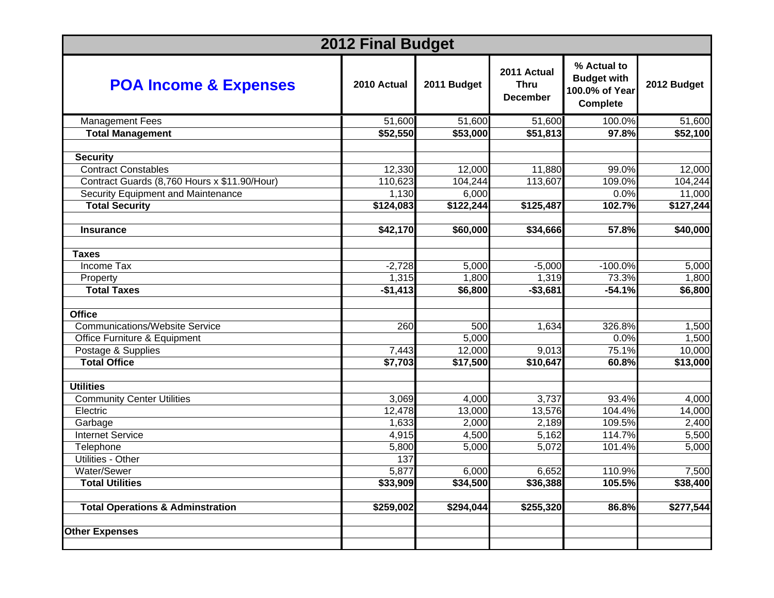| <b>2012 Final Budget</b>                     |             |             |                                               |                                                                        |             |
|----------------------------------------------|-------------|-------------|-----------------------------------------------|------------------------------------------------------------------------|-------------|
| <b>POA Income &amp; Expenses</b>             | 2010 Actual | 2011 Budget | 2011 Actual<br><b>Thru</b><br><b>December</b> | % Actual to<br><b>Budget with</b><br>100.0% of Year<br><b>Complete</b> | 2012 Budget |
| <b>Management Fees</b>                       | 51,600      | 51,600      | 51,600                                        | 100.0%                                                                 | 51,600      |
| <b>Total Management</b>                      | \$52,550    | \$53,000    | \$51,813                                      | 97.8%                                                                  | \$52,100    |
|                                              |             |             |                                               |                                                                        |             |
| <b>Security</b>                              |             |             |                                               |                                                                        |             |
| <b>Contract Constables</b>                   | 12,330      | 12,000      | 11,880                                        | 99.0%                                                                  | 12,000      |
| Contract Guards (8,760 Hours x \$11.90/Hour) | 110,623     | 104,244     | 113,607                                       | 109.0%                                                                 | 104,244     |
| Security Equipment and Maintenance           | 1,130       | 6,000       |                                               | 0.0%                                                                   | 11,000      |
| <b>Total Security</b>                        | \$124,083   | \$122,244   | \$125,487                                     | 102.7%                                                                 | \$127,244   |
| <b>Insurance</b>                             | \$42,170    | \$60,000    | \$34,666                                      | 57.8%                                                                  | \$40,000    |
|                                              |             |             |                                               |                                                                        |             |
| <b>Taxes</b>                                 |             |             |                                               |                                                                        |             |
| <b>Income Tax</b>                            | $-2,728$    | 5,000       | $-5,000$                                      | $-100.0%$                                                              | 5,000       |
| Property                                     | 1,315       | 1,800       | 1,319                                         | 73.3%                                                                  | 1,800       |
| <b>Total Taxes</b>                           | $-$1,413$   | \$6,800     | $-$3,681$                                     | $-54.1%$                                                               | \$6,800     |
|                                              |             |             |                                               |                                                                        |             |
| <b>Office</b>                                |             |             |                                               |                                                                        |             |
| <b>Communications/Website Service</b>        | 260         | 500         | 1,634                                         | 326.8%                                                                 | 1,500       |
| Office Furniture & Equipment                 |             | 5,000       |                                               | 0.0%                                                                   | 1,500       |
| Postage & Supplies                           | 7,443       | 12,000      | 9,013                                         | 75.1%                                                                  | 10,000      |
| <b>Total Office</b>                          | \$7,703     | \$17,500    | \$10,647                                      | 60.8%                                                                  | \$13,000    |
|                                              |             |             |                                               |                                                                        |             |
| <b>Utilities</b>                             |             |             |                                               |                                                                        |             |
| <b>Community Center Utilities</b>            | 3,069       | 4,000       | 3,737                                         | 93.4%                                                                  | 4,000       |
| Electric                                     | 12,478      | 13,000      | 13,576                                        | 104.4%                                                                 | 14,000      |
| Garbage                                      | 1,633       | 2,000       | 2,189                                         | 109.5%                                                                 | 2,400       |
| <b>Internet Service</b>                      | 4,915       | 4,500       | 5,162                                         | 114.7%                                                                 | 5,500       |
| Telephone                                    | 5,800       | 5,000       | 5,072                                         | 101.4%                                                                 | 5,000       |
| Utilities - Other                            | 137         |             |                                               |                                                                        |             |
| Water/Sewer                                  | 5,877       | 6,000       | 6,652                                         | 110.9%                                                                 | 7,500       |
| <b>Total Utilities</b>                       | \$33,909    | \$34,500    | \$36,388                                      | 105.5%                                                                 | \$38,400    |
| <b>Total Operations &amp; Adminstration</b>  | \$259,002   | \$294,044   | \$255,320                                     | 86.8%                                                                  | \$277,544   |
| <b>Other Expenses</b>                        |             |             |                                               |                                                                        |             |
|                                              |             |             |                                               |                                                                        |             |
|                                              |             |             |                                               |                                                                        |             |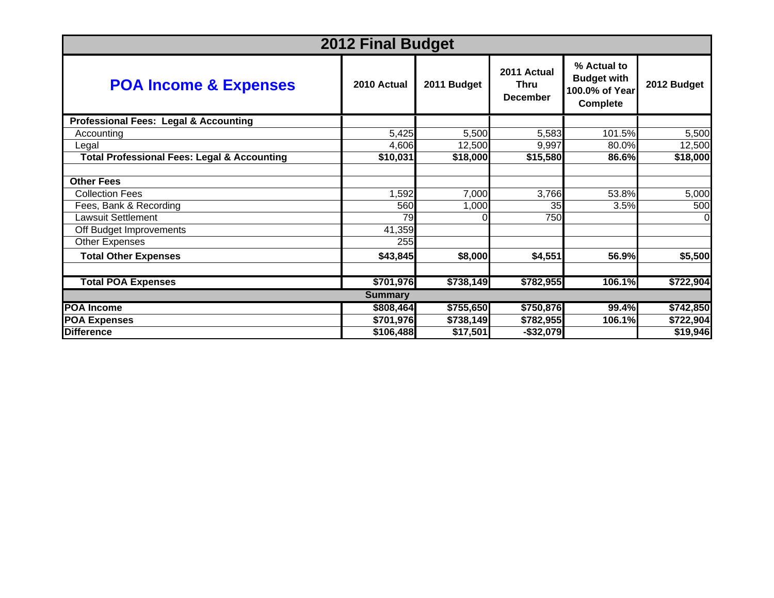| <b>2012 Final Budget</b>                               |             |             |                                               |                                                                        |             |  |
|--------------------------------------------------------|-------------|-------------|-----------------------------------------------|------------------------------------------------------------------------|-------------|--|
| <b>POA Income &amp; Expenses</b>                       | 2010 Actual | 2011 Budget | 2011 Actual<br><b>Thru</b><br><b>December</b> | % Actual to<br><b>Budget with</b><br>100.0% of Year<br><b>Complete</b> | 2012 Budget |  |
| <b>Professional Fees: Legal &amp; Accounting</b>       |             |             |                                               |                                                                        |             |  |
| Accounting                                             | 5,425       | 5,500       | 5,583                                         | 101.5%                                                                 | 5,500       |  |
| Legal                                                  | 4,606       | 12,500      | 9,997                                         | 80.0%                                                                  | 12,500      |  |
| <b>Total Professional Fees: Legal &amp; Accounting</b> | \$10,031    | \$18,000    | \$15,580                                      | 86.6%                                                                  | \$18,000    |  |
|                                                        |             |             |                                               |                                                                        |             |  |
| <b>Other Fees</b>                                      |             |             |                                               |                                                                        |             |  |
| <b>Collection Fees</b>                                 | 1,592       | 7,000       | 3,766                                         | 53.8%                                                                  | 5,000       |  |
| Fees, Bank & Recording                                 | 560         | 1,000       | 35                                            | 3.5%                                                                   | 500         |  |
| <b>Lawsuit Settlement</b>                              | 79          |             | 750                                           |                                                                        | 0           |  |
| Off Budget Improvements                                | 41,359      |             |                                               |                                                                        |             |  |
| Other Expenses                                         | 255         |             |                                               |                                                                        |             |  |
| <b>Total Other Expenses</b>                            | \$43,845    | \$8,000     | \$4,551                                       | 56.9%                                                                  | \$5,500     |  |
|                                                        |             |             |                                               |                                                                        |             |  |
| <b>Total POA Expenses</b>                              | \$701,976   | \$738,149   | \$782,955                                     | 106.1%                                                                 | \$722,904   |  |
| <b>Summary</b>                                         |             |             |                                               |                                                                        |             |  |
| <b>POA Income</b>                                      | \$808,464   | \$755,650   | \$750,876                                     | 99.4%                                                                  | \$742,850   |  |
| <b>POA Expenses</b>                                    | \$701,976   | \$738,149   | \$782,955                                     | 106.1%                                                                 | \$722,904   |  |
| <b>Difference</b>                                      | \$106,488   | \$17,501    | $-$ \$32,079                                  |                                                                        | \$19,946    |  |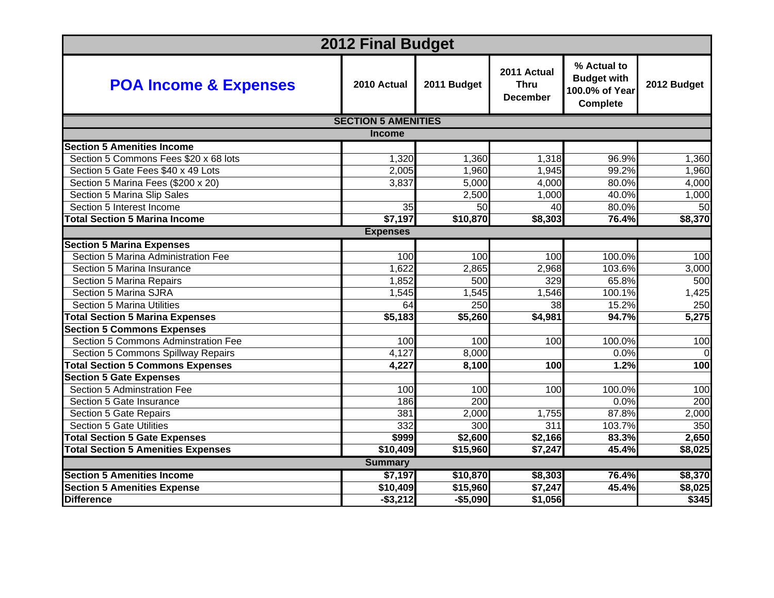| <b>2012 Final Budget</b>                  |                            |             |                                               |                                                                        |             |  |
|-------------------------------------------|----------------------------|-------------|-----------------------------------------------|------------------------------------------------------------------------|-------------|--|
| <b>POA Income &amp; Expenses</b>          | 2010 Actual                | 2011 Budget | 2011 Actual<br><b>Thru</b><br><b>December</b> | % Actual to<br><b>Budget with</b><br>100.0% of Year<br><b>Complete</b> | 2012 Budget |  |
|                                           | <b>SECTION 5 AMENITIES</b> |             |                                               |                                                                        |             |  |
|                                           | <b>Income</b>              |             |                                               |                                                                        |             |  |
| <b>Section 5 Amenities Income</b>         |                            |             |                                               |                                                                        |             |  |
| Section 5 Commons Fees \$20 x 68 lots     | 1,320                      | 1,360       | 1,318                                         | 96.9%                                                                  | 1,360       |  |
| Section 5 Gate Fees \$40 x 49 Lots        | 2,005                      | 1,960       | 1,945                                         | 99.2%                                                                  | 1,960       |  |
| Section 5 Marina Fees (\$200 x 20)        | 3,837                      | 5,000       | 4,000                                         | 80.0%                                                                  | 4,000       |  |
| Section 5 Marina Slip Sales               |                            | 2,500       | 1,000                                         | 40.0%                                                                  | 1,000       |  |
| Section 5 Interest Income                 | 35                         | 50          | 40                                            | 80.0%                                                                  | 50          |  |
| <b>Total Section 5 Marina Income</b>      | \$7,197                    | \$10,870    | \$8,303                                       | 76.4%                                                                  | \$8,370     |  |
|                                           | <b>Expenses</b>            |             |                                               |                                                                        |             |  |
| <b>Section 5 Marina Expenses</b>          |                            |             |                                               |                                                                        |             |  |
| Section 5 Marina Administration Fee       | 100                        | 100         | 100                                           | 100.0%                                                                 | 100         |  |
| Section 5 Marina Insurance                | 1,622                      | 2,865       | 2,968                                         | 103.6%                                                                 | 3,000       |  |
| Section 5 Marina Repairs                  | 1,852                      | 500         | 329                                           | 65.8%                                                                  | 500         |  |
| Section 5 Marina SJRA                     | 1,545                      | 1,545       | 1,546                                         | 100.1%                                                                 | 1,425       |  |
| <b>Section 5 Marina Utilities</b>         | 64                         | 250         | $\overline{38}$                               | 15.2%                                                                  | 250         |  |
| <b>Total Section 5 Marina Expenses</b>    | \$5,183                    | \$5,260     | \$4,981                                       | 94.7%                                                                  | 5,275       |  |
| <b>Section 5 Commons Expenses</b>         |                            |             |                                               |                                                                        |             |  |
| Section 5 Commons Adminstration Fee       | 100                        | 100         | 100                                           | 100.0%                                                                 | 100         |  |
| Section 5 Commons Spillway Repairs        | 4,127                      | 8,000       |                                               | 0.0%                                                                   | $\Omega$    |  |
| <b>Total Section 5 Commons Expenses</b>   | 4,227                      | 8,100       | 100                                           | 1.2%                                                                   | 100         |  |
| <b>Section 5 Gate Expenses</b>            |                            |             |                                               |                                                                        |             |  |
| Section 5 Adminstration Fee               | 100                        | 100         | 100                                           | 100.0%                                                                 | 100         |  |
| Section 5 Gate Insurance                  | 186                        | 200         |                                               | 0.0%                                                                   | 200         |  |
| Section 5 Gate Repairs                    | 381                        | 2,000       | 1,755                                         | 87.8%                                                                  | 2,000       |  |
| <b>Section 5 Gate Utilities</b>           | 332                        | 300         | 311                                           | 103.7%                                                                 | 350         |  |
| <b>Total Section 5 Gate Expenses</b>      | \$999                      | \$2,600     | \$2,166                                       | 83.3%                                                                  | 2,650       |  |
| <b>Total Section 5 Amenities Expenses</b> | \$10,409                   | \$15,960    | \$7,247                                       | 45.4%                                                                  | \$8,025     |  |
| <b>Summary</b>                            |                            |             |                                               |                                                                        |             |  |
| <b>Section 5 Amenities Income</b>         | \$7,197                    | \$10,870    | \$8,303                                       | 76.4%                                                                  | \$8,370     |  |
| <b>Section 5 Amenities Expense</b>        | \$10,409                   | \$15,960    | $\sqrt{57,247}$                               | 45.4%                                                                  | \$8,025     |  |
| <b>Difference</b>                         | $-$3,212$                  | $-$5,090$   | \$1,056                                       |                                                                        | \$345       |  |